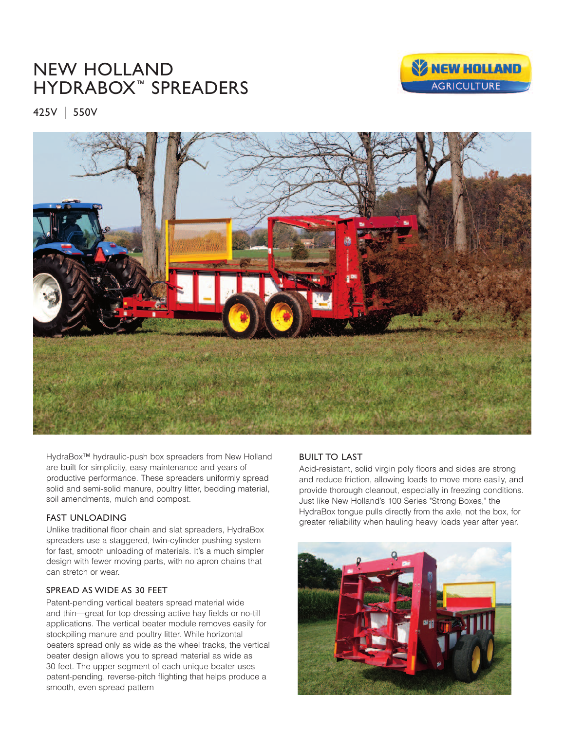# NEW HOLLAND HYDRABOX™ SPREADERS



425V <sup>I</sup> 550V



HydraBox™ hydraulic-push box spreaders from New Holland are built for simplicity, easy maintenance and years of productive performance. These spreaders uniformly spread solid and semi-solid manure, poultry litter, bedding material, soil amendments, mulch and compost.

## FAST UNLOADING

Unlike traditional floor chain and slat spreaders, HydraBox spreaders use a staggered, twin-cylinder pushing system for fast, smooth unloading of materials. It's a much simpler design with fewer moving parts, with no apron chains that can stretch or wear.

## SPREAD AS WIDE AS 30 FEET

Patent-pending vertical beaters spread material wide and thin—great for top dressing active hay fields or no-till applications. The vertical beater module removes easily for stockpiling manure and poultry litter. While horizontal beaters spread only as wide as the wheel tracks, the vertical beater design allows you to spread material as wide as 30 feet. The upper segment of each unique beater uses patent-pending, reverse-pitch flighting that helps produce a smooth, even spread pattern

# BUILT TO LAST

Acid-resistant, solid virgin poly floors and sides are strong and reduce friction, allowing loads to move more easily, and provide thorough cleanout, especially in freezing conditions. Just like New Holland's 100 Series "Strong Boxes," the HydraBox tongue pulls directly from the axle, not the box, for greater reliability when hauling heavy loads year after year.